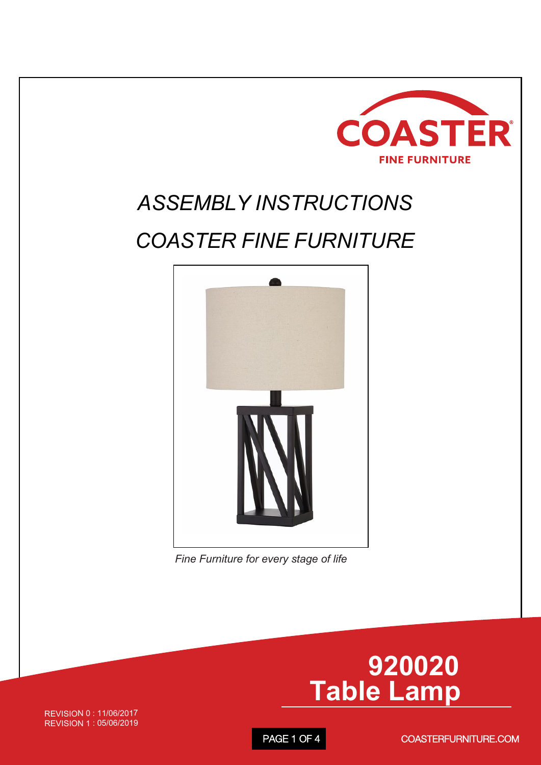

### *ASSEMBLY INSTRUCTIONS*

#### *COASTER FINE FURNITURE*



*Fine Furniture for every stage of life*

# **920020 Table Lamp**

REVISION 0 : 11/06/2017 REVISION 1 : 05/06/2019

PAGE 1 OF 4

COASTERFURNITURE.COM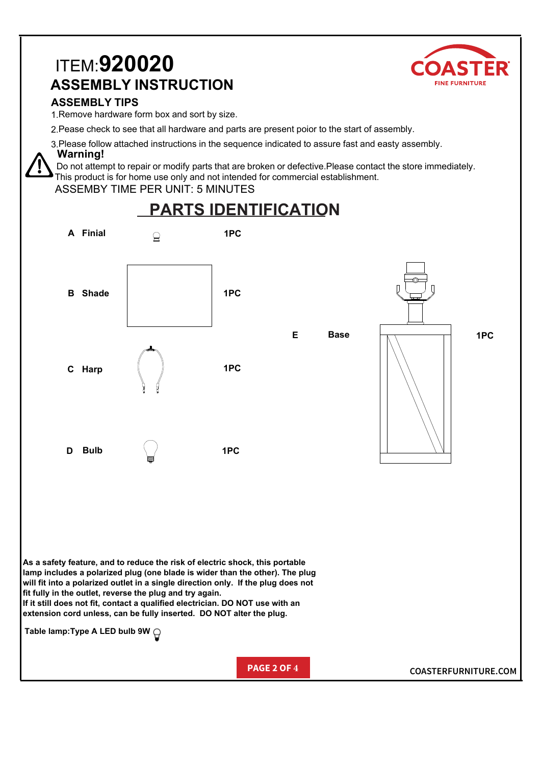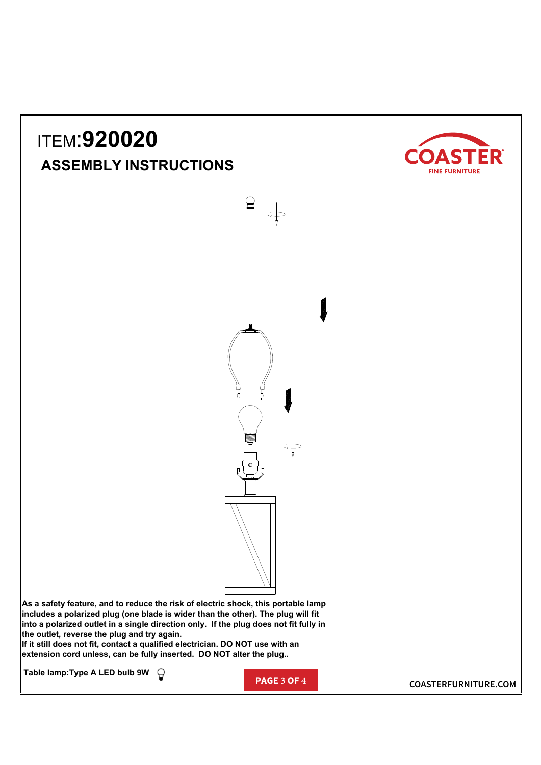## ITEM:**920020 ASSEMBLY INSTRUCTIONS**





**As a safety feature, and to reduce the risk of electric shock, this portable lamp includes a polarized plug (one blade is wider than the other). The plug will fit into a polarized outlet in a single direction only. If the plug does not fit fully in the outlet, reverse the plug and try again.**

**If it still does not fit, contact a qualified electrician. DO NOT use with an extension cord unless, can be fully inserted. DO NOT alter the plug..**

**Table lamp:Type A LED bulb 9W**

**PAGE 3 OF 4 COASTERFURNITURE.COM**